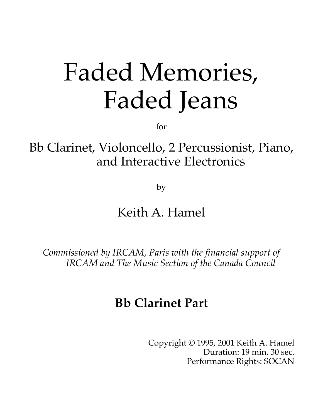# Faded Memories, Faded Jeans

for

Bb Clarinet, Violoncello, 2 Percussionist, Piano, and Interactive Electronics

by

## Keith A. Hamel

*Commissioned by IRCAM, Paris with the financial support of IRCAM and The Music Section of the Canada Council*

# **Bb Clarinet Part**

Copyright © 1995, 2001 Keith A. Hamel Duration: 19 min. 30 sec. Performance Rights: SOCAN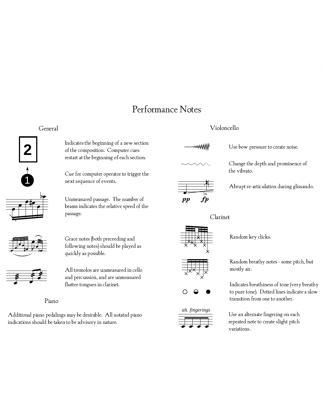## Performance Notes

#### General

 $\overline{\phantom{0}}$  $\overline{\phantom{a}}$  $\overset{\bullet}{\ast}$  $\overline{\phantom{0}}$ 



Cue for computer operator to trigger the next sequence of events.

 Unmeasured passage. The number of beams indicates the relative speed of the passage.





All tremolos are unmeasured in cello and percussion, and are unmeasured flutter-tongues in clarinet.

Grace notes (both preceeding and following notes) should be played as

quickly as possible.

Piano

Additional piano pedalings may be desirable. All notated piano indications should be taken to be advisory in nature.

### Violoncello





Use bow pressure to create noise.

Change the depth and prominence of the vibrato.

Abrupt re-articulation during glissando.



Clarinet



Random key clicks.

Random breathy notes - some pitch, but mostly air.

Indicates breathiness of tone (very breathy to pure tone). Dotted lines indicate a slow transition from one to another.



Use an alternate fingering on each repeated note to create slight pitch variations.







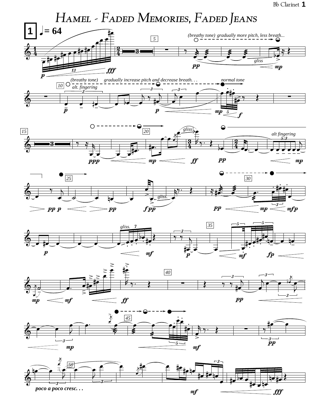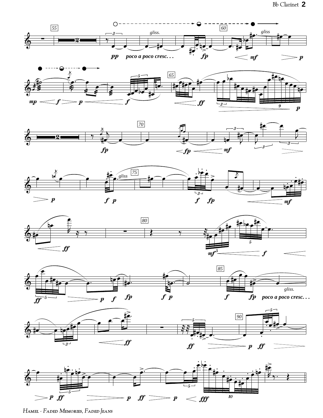















Hamel - Faded Memories, Faded Jeans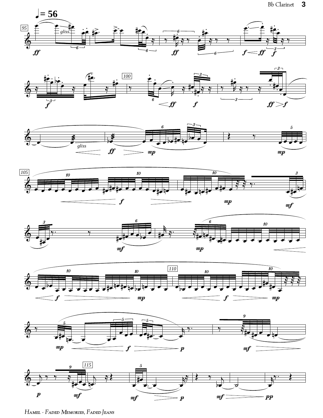















HAMEL - FADED MEMORIES, FADED JEANS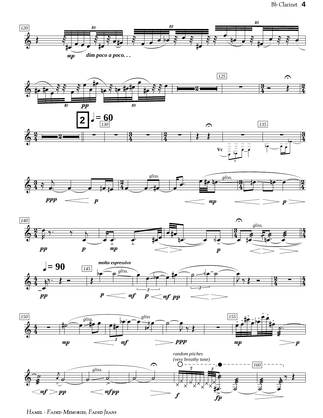













HAMEL - FADED MEMORIES, FADED JEANS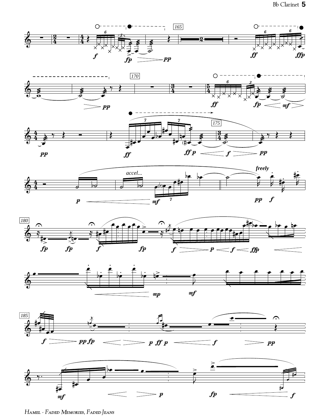















Hamel - Faded Memories, Faded Jeans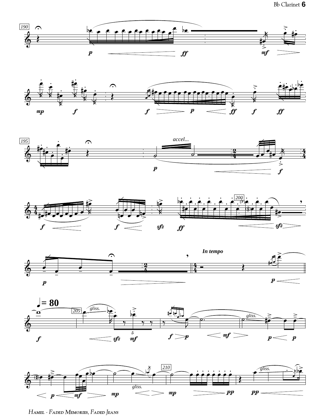













Hamel - Faded Memories, Faded Jeans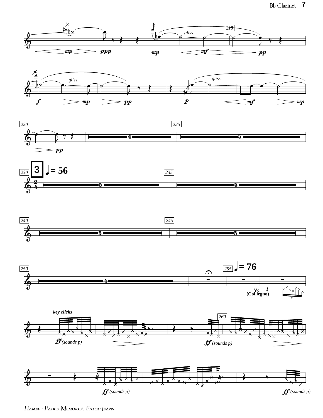![](_page_8_Figure_1.jpeg)

![](_page_8_Figure_2.jpeg)

![](_page_8_Figure_3.jpeg)

![](_page_8_Figure_4.jpeg)

![](_page_8_Figure_5.jpeg)

![](_page_8_Figure_6.jpeg)

![](_page_8_Figure_7.jpeg)

![](_page_8_Figure_8.jpeg)

Hamel - Faded Memories, Faded Jeans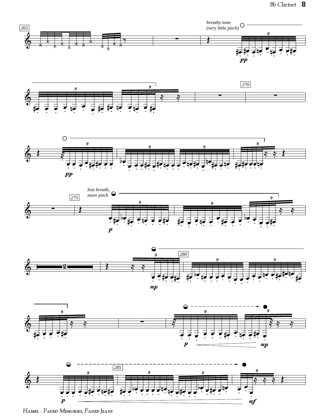![](_page_9_Figure_1.jpeg)

![](_page_9_Figure_2.jpeg)

![](_page_9_Figure_3.jpeg)

![](_page_9_Figure_4.jpeg)

![](_page_9_Figure_5.jpeg)

![](_page_9_Figure_6.jpeg)

![](_page_9_Figure_7.jpeg)

Hamel - Faded Memories, Faded Jeans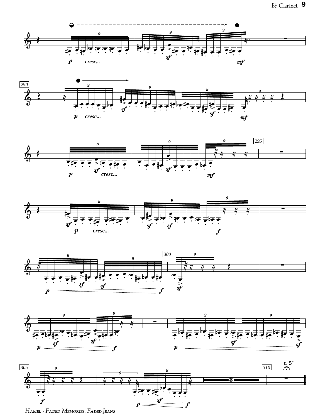![](_page_10_Figure_1.jpeg)

![](_page_10_Figure_2.jpeg)

![](_page_10_Figure_3.jpeg)

![](_page_10_Figure_4.jpeg)

![](_page_10_Figure_5.jpeg)

![](_page_10_Figure_6.jpeg)

![](_page_10_Figure_7.jpeg)

Hamel - Faded Memories, Faded Jeans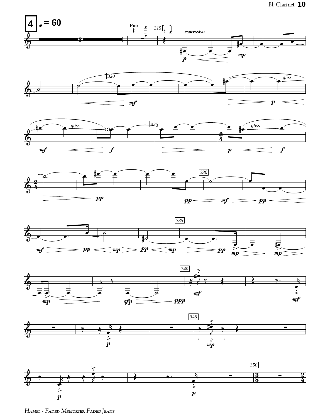![](_page_11_Figure_1.jpeg)

![](_page_11_Figure_2.jpeg)

![](_page_11_Figure_3.jpeg)

![](_page_11_Figure_4.jpeg)

![](_page_11_Figure_5.jpeg)

![](_page_11_Figure_6.jpeg)

![](_page_11_Figure_7.jpeg)

![](_page_11_Figure_8.jpeg)

HAMEL - FADED MEMORIES, FADED JEANS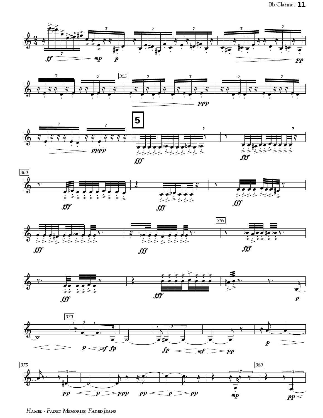![](_page_12_Figure_1.jpeg)

![](_page_12_Figure_2.jpeg)

![](_page_12_Figure_3.jpeg)

![](_page_12_Figure_4.jpeg)

![](_page_12_Figure_5.jpeg)

![](_page_12_Figure_6.jpeg)

![](_page_12_Figure_7.jpeg)

![](_page_12_Figure_8.jpeg)

HAMEL - FADED MEMORIES, FADED JEANS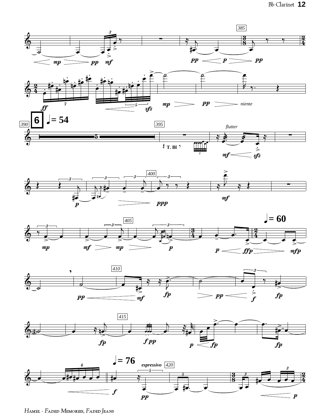![](_page_13_Figure_1.jpeg)

![](_page_13_Figure_2.jpeg)

![](_page_13_Figure_3.jpeg)

![](_page_13_Figure_4.jpeg)

![](_page_13_Figure_5.jpeg)

Hamel - Faded Memories, Faded Jeans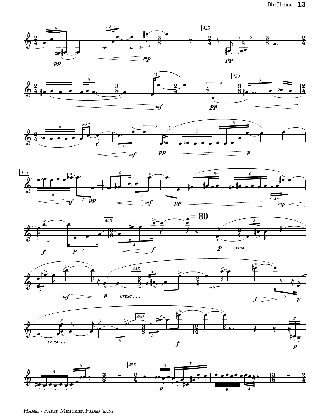![](_page_14_Figure_1.jpeg)

![](_page_14_Figure_2.jpeg)

![](_page_14_Figure_3.jpeg)

![](_page_14_Figure_4.jpeg)

![](_page_14_Figure_5.jpeg)

![](_page_14_Figure_6.jpeg)

![](_page_14_Figure_7.jpeg)

![](_page_14_Figure_8.jpeg)

Hamel - Faded Memories, Faded Jeans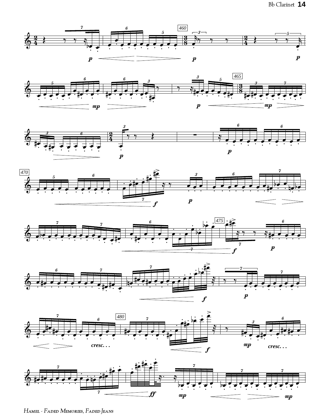![](_page_15_Figure_1.jpeg)

![](_page_15_Figure_2.jpeg)

![](_page_15_Figure_3.jpeg)

![](_page_15_Figure_4.jpeg)

![](_page_15_Figure_5.jpeg)

![](_page_15_Figure_6.jpeg)

![](_page_15_Figure_7.jpeg)

![](_page_15_Figure_8.jpeg)

HAMEL - FADED MEMORIES, FADED JEANS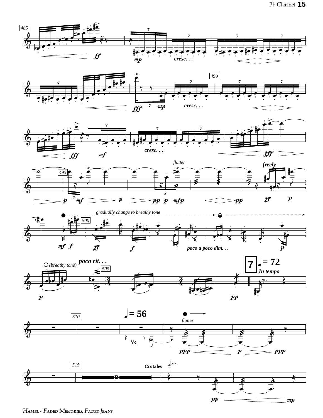![](_page_16_Figure_1.jpeg)

![](_page_16_Figure_2.jpeg)

![](_page_16_Figure_3.jpeg)

![](_page_16_Figure_4.jpeg)

![](_page_16_Figure_5.jpeg)

![](_page_16_Figure_6.jpeg)

![](_page_16_Figure_7.jpeg)

![](_page_16_Figure_8.jpeg)

Hamel - Faded Memories, Faded Jeans